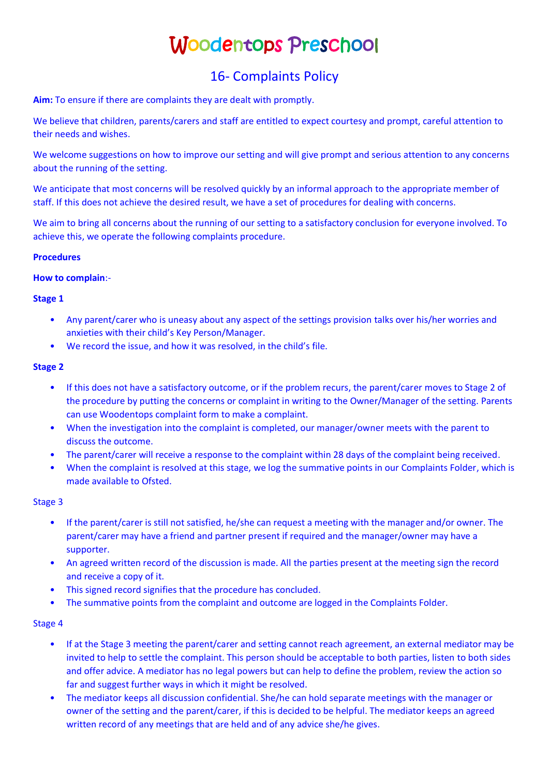# Woodentops Preschool

# 16- Complaints Policy

**Aim:** To ensure if there are complaints they are dealt with promptly.

We believe that children, parents/carers and staff are entitled to expect courtesy and prompt, careful attention to their needs and wishes.

We welcome suggestions on how to improve our setting and will give prompt and serious attention to any concerns about the running of the setting.

We anticipate that most concerns will be resolved quickly by an informal approach to the appropriate member of staff. If this does not achieve the desired result, we have a set of procedures for dealing with concerns.

We aim to bring all concerns about the running of our setting to a satisfactory conclusion for everyone involved. To achieve this, we operate the following complaints procedure.

### **Procedures**

#### **How to complain**:-

# **Stage 1**

- Any parent/carer who is uneasy about any aspect of the settings provision talks over his/her worries and anxieties with their child's Key Person/Manager.
- We record the issue, and how it was resolved, in the child's file.

# **Stage 2**

- If this does not have a satisfactory outcome, or if the problem recurs, the parent/carer moves to Stage 2 of the procedure by putting the concerns or complaint in writing to the Owner/Manager of the setting. Parents can use Woodentops complaint form to make a complaint.
- When the investigation into the complaint is completed, our manager/owner meets with the parent to discuss the outcome.
- The parent/carer will receive a response to the complaint within 28 days of the complaint being received.
- When the complaint is resolved at this stage, we log the summative points in our Complaints Folder, which is made available to Ofsted.

#### Stage 3

- If the parent/carer is still not satisfied, he/she can request a meeting with the manager and/or owner. The parent/carer may have a friend and partner present if required and the manager/owner may have a supporter.
- An agreed written record of the discussion is made. All the parties present at the meeting sign the record and receive a copy of it.
- This signed record signifies that the procedure has concluded.
- The summative points from the complaint and outcome are logged in the Complaints Folder.

# Stage 4

- If at the Stage 3 meeting the parent/carer and setting cannot reach agreement, an external mediator may be invited to help to settle the complaint. This person should be acceptable to both parties, listen to both sides and offer advice. A mediator has no legal powers but can help to define the problem, review the action so far and suggest further ways in which it might be resolved.
- The mediator keeps all discussion confidential. She/he can hold separate meetings with the manager or owner of the setting and the parent/carer, if this is decided to be helpful. The mediator keeps an agreed written record of any meetings that are held and of any advice she/he gives.